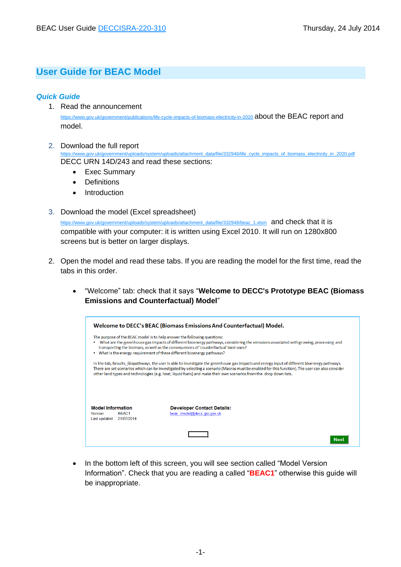## **User Guide for BEAC Model**

## *Quick Guide*

- 1. Read the announcement <https://www.gov.uk/government/publications/life-cycle-impacts-of-biomass-electricity-in-2020> about the BEAC report and model.
- 2. Download the full report [https://www.gov.uk/government/uploads/system/uploads/attachment\\_data/file/332946/life\\_cycle\\_impacts\\_of\\_biomass\\_electricity\\_in\\_2020.pdf](https://www.gov.uk/government/uploads/system/uploads/attachment_data/file/332946/life_cycle_impacts_of_biomass_electricity_in_2020.pdf) DECC URN 14D/243 and read these sections:
	- Exec Summary
	- Definitions
	- Introduction
- 3. Download the model (Excel spreadsheet)

[https://www.gov.uk/government/uploads/system/uploads/attachment\\_data/file/332948/beac\\_1.xlsm](https://www.gov.uk/government/uploads/system/uploads/attachment_data/file/332948/beac_1.xlsm) and check that it is compatible with your computer: it is written using Excel 2010. It will run on 1280x800 screens but is better on larger displays.

- 2. Open the model and read these tabs. If you are reading the model for the first time, read the tabs in this order.
	- "Welcome" tab: check that it says "**Welcome to DECC's Prototype BEAC (Biomass Emissions and Counterfactual) Model**"

|                                                                                                                                                                                                                                                                                                                                                                                     | Welcome to DECC's BEAC (Biomass Emissions And Counterfactual) Model.                                                                                                                                                                                                                                                                                                                                                    |  |  |
|-------------------------------------------------------------------------------------------------------------------------------------------------------------------------------------------------------------------------------------------------------------------------------------------------------------------------------------------------------------------------------------|-------------------------------------------------------------------------------------------------------------------------------------------------------------------------------------------------------------------------------------------------------------------------------------------------------------------------------------------------------------------------------------------------------------------------|--|--|
| The purpose of the BEAC model is to help answer the following questions:<br>What are the greenhouse gas impacts of different bioenergy pathways, considering the emissions associated with growing, processing and<br>transporting the biomass, as well as the consequences of 'counterfactual' land-uses?<br>What is the energy requirement of these different bioenergy pathways? |                                                                                                                                                                                                                                                                                                                                                                                                                         |  |  |
|                                                                                                                                                                                                                                                                                                                                                                                     | In the tab, Results Biopathways, the user is able to investigate the greenhouse gas impacts and energy input of different bioenergy pathways.<br>There are set scenarios which can be investigated by selecting a scenario (Macros must be enabled for this function). The user can also consider<br>other land types and technologies (e.g. heat, liquid fuels) and make their own scenarios from the drop down lists. |  |  |
| <b>Model Information</b><br>BFAC1<br>Version<br>21/07/2014<br>Last updated                                                                                                                                                                                                                                                                                                          | <b>Developer Contact Details:</b><br>beac model@decc.gsi.gov.uk                                                                                                                                                                                                                                                                                                                                                         |  |  |
|                                                                                                                                                                                                                                                                                                                                                                                     |                                                                                                                                                                                                                                                                                                                                                                                                                         |  |  |

• In the bottom left of this screen, you will see section called "Model Version Information". Check that you are reading a called "**BEAC1**" otherwise this guide will be inappropriate.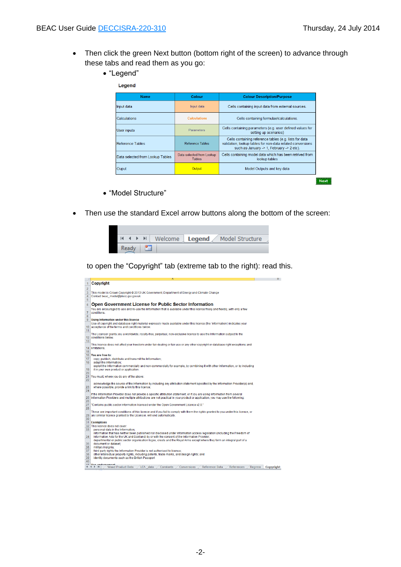- Then click the green Next button (bottom right of the screen) to advance through these tabs and read them as you go:
	- "Legend"

| <b>Name</b>                      | Colour                                     | <b>Colour Description/Purpose</b>                                                                                                                                 |  |
|----------------------------------|--------------------------------------------|-------------------------------------------------------------------------------------------------------------------------------------------------------------------|--|
| Input data                       | Input data                                 | Cells containing input data from external sources.                                                                                                                |  |
| Calculations                     | <b>Calculations</b>                        | Cells containing formulae/calculations.                                                                                                                           |  |
| User inputs                      | Parameters                                 | Cells containing parameters (e.g. user defined values for<br>setting up scenarios)                                                                                |  |
| Reference Tables                 | <b>Reference Tables</b>                    | Cells containing reference tables (e.g. lists for data<br>validation, lookup tables for non-data related conversions<br>such as January -> 1, February -> 2 etc). |  |
| Data selected from Lookup Tables | Data selected from Lookup<br><b>Tables</b> | Cells containing model data which has been retrived from<br>lookup tables                                                                                         |  |
| Ouput                            | Output                                     | Model Outputs and key data                                                                                                                                        |  |

÷.

- "Model Structure"
- Then use the standard Excel arrow buttons along the bottom of the screen:

|       |    |  | $H \leftarrow H$ M Welcome <b>Legend</b> Model Structure |
|-------|----|--|----------------------------------------------------------|
| Ready | ۲Ŧ |  |                                                          |

to open the "Copyright" tab (extreme tab to the right): read this.

| 1              | Copyright                                                                                                                                                     |           |  |
|----------------|---------------------------------------------------------------------------------------------------------------------------------------------------------------|-----------|--|
| $\overline{2}$ |                                                                                                                                                               |           |  |
| 3              | This model is Crown Copyright @ 2013 UK Government, Department of Energy and Climate Change                                                                   |           |  |
| 4              | Contact beac model@decc.gsi.gov.uk                                                                                                                            |           |  |
| 5              |                                                                                                                                                               |           |  |
| 6              | <b>Open Government License for Public Sector Information</b>                                                                                                  |           |  |
|                | You are encouraged to use and re-use the Information that is available under this licence freely and flexibly, with only a few                                |           |  |
| 7              | conditions.                                                                                                                                                   |           |  |
| 8              |                                                                                                                                                               |           |  |
| 9              | <b>Using Information under this licence</b>                                                                                                                   |           |  |
|                | Use of copyright and database right material expressly made available under this licence (the 'Information') indicates your                                   |           |  |
| 10             | acceptance of the terms and conditions below.                                                                                                                 |           |  |
| 11             |                                                                                                                                                               |           |  |
|                | The Licensor grants you a worldwide, royalty-free, perpetual, non-exclusive licence to use the Information subject to the                                     |           |  |
| 12             | conditions below.                                                                                                                                             |           |  |
| 13             |                                                                                                                                                               |           |  |
|                | This licence does not affect vour freedom under fair dealing or fair use or any other copyright or database right exceptions and<br>14 limitations.           |           |  |
| 15             |                                                                                                                                                               |           |  |
| 16             | You are free to:                                                                                                                                              |           |  |
| 17             | copy, publish, distribute and transmit the Information;                                                                                                       |           |  |
| 18             | adapt the Information:                                                                                                                                        |           |  |
|                | exploit the Information commercially and non-commercially for example, by combining it with other Information, or by including                                |           |  |
| 19             | it in your own product or application.                                                                                                                        |           |  |
| 20             |                                                                                                                                                               |           |  |
| 21             | You must, where you do any of the above:                                                                                                                      |           |  |
| 22             |                                                                                                                                                               |           |  |
|                | acknowledge the source of the Information by including any attribution statement specified by the Information Provider(s) and,                                |           |  |
| 23<br>24       | where possible, provide a link to this licence;                                                                                                               |           |  |
|                | If the Information Provider does not provide a specific attribution statement, or if you are using Information from several                                   |           |  |
| 25             | Information Providers and multiple attributions are not practical in vour product or application, vou may use the following:                                  |           |  |
| 26             |                                                                                                                                                               |           |  |
| 27             | "Contains public sector information licensed under the Open Government Licence v2.0."                                                                         |           |  |
| 28             |                                                                                                                                                               |           |  |
|                | These are important conditions of this licence and if you fail to comply with them the rights granted to you under this licence, or                           |           |  |
|                | 29 any similar licence granted by the Licensor, will end automatically.                                                                                       |           |  |
| 30             |                                                                                                                                                               |           |  |
|                | 31 Exemptions                                                                                                                                                 |           |  |
|                | 32 This licence does not cover:                                                                                                                               |           |  |
| 33             | personal data in the Information:<br>information that has neither been published nor disclosed under information access legislation (including the Freedom of |           |  |
| 34             | Information Acts for the UK and Scotland) by or with the consent of the Information Provider:                                                                 |           |  |
|                | departmental or public sector organisation logos, crests and the Roval Arms except where they form an integral part of a                                      |           |  |
| 35             | document or dataset:                                                                                                                                          |           |  |
| 36             | military insignia;                                                                                                                                            |           |  |
| 37             | third party rights the Information Provider is not authorised to license;                                                                                     |           |  |
| 38             | other intellectual property rights, including patents, trade marks, and design rights; and                                                                    |           |  |
| 39             | identity documents such as the British Passport                                                                                                               |           |  |
| 40             |                                                                                                                                                               |           |  |
|                | <b>44 Non-andernament</b><br>Wood Product Data<br>LCA data<br>Reference Data<br>References<br>$M \rightarrow N$<br>Constants<br>Conversions<br><b>Regress</b> | Copyright |  |
|                |                                                                                                                                                               |           |  |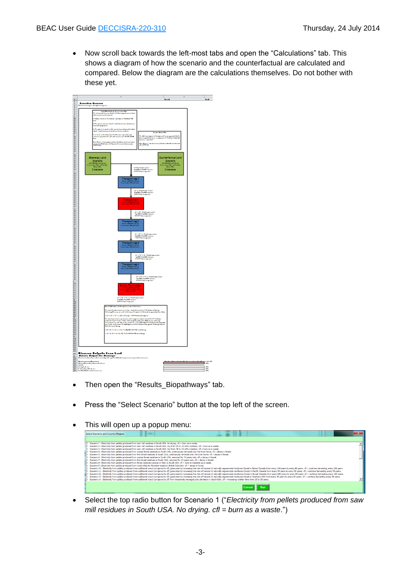Now scroll back towards the left-most tabs and open the "Calculations" tab. This shows a diagram of how the scenario and the counterfactual are calculated and compared. Below the diagram are the calculations themselves. Do not bother with these yet.



- Then open the "Results\_Biopathways" tab.
- Press the "Select Scenario" button at the top left of the screen.
- This will open up a popup menu:

| Select Scenario and Country/Region<br>$\sim$                                                                                                                                                                                   |  |
|--------------------------------------------------------------------------------------------------------------------------------------------------------------------------------------------------------------------------------|--|
|                                                                                                                                                                                                                                |  |
| Scenario 1 : Electricity from pellets produced from saw mill residues in South USA. No drying, cfl = burn as a waste.                                                                                                          |  |
| Scenario 2 : Electricity from pellets produced from saw mill residues in South USA. Dry from 25 to 10 wt% moisture, cfl = burn as a waste.                                                                                     |  |
| Scenario 3 : Electricity from pellets produced from saw mill residues in South USA. Dry from 50 to 10 wt% moisture. cfl = burn as a waste.                                                                                     |  |
| Scenario 4 : Electricity from pellets produced from coarse forest residues in South USA, continuously removed over the time frame, cfl = decay in forest.                                                                      |  |
| Scenario 5 : Electricity from pellets produced from fine forest residues in South USA, continuously removed over the time frame. cfl = decay in forest.                                                                        |  |
| Scenario 6 : Electricity from pellets produced from coarse forset residues in South USA, removed for 15 years only, cfl = decay in forest,                                                                                     |  |
| Scenario 7 : Electricity from pellets produced from fine forset residues in South USA, removed for 15 years only, cfl = decay in forest,                                                                                       |  |
| Scenario 8 : Electricity from pellets produced from forest residues (coarse or fine) in South USA. cfl = burn at roadside as a waste.                                                                                          |  |
| Scenario 9 : Electricity from pellets produced from wood killed by Mountain beetle in British Colombia, cfl = decay in forest,                                                                                                 |  |
| Scenario 10 : Electricity from pellets produced from additional wood (compared to cfl) generated by increasing the rate of harvest of naturally regenerated hardwood forest in Boreal Canada from every 100 years to every 80  |  |
| Scenario 11 : Electricity from pellets produced from additional wood (compared to cfl) generated by increasing the rate of harvest of naturally regenerated coniferous forest in Pacific Canada from every 70 years, cfl = con |  |
| Scenario 12 : Electricity from pellets produced from additional wood (compared to cfi) generated by increasing the rate of harvest of naturally regenerated conferous forest in Boreal Canada from every 100 years to every 80 |  |
| Scenario 13 : Electricity from pellets produced from additional wood (compared to cfl) generated by increasing the rate of harvest of naturally regenerated bardwood forest in Southern USA from every 70 years to every 60 ye |  |
| Scenario 14 : Electricity from pellets produced from additional wood (compared to cfl) from intensively managed pine plantation in South USA. cfl = increasing rotation time from 25 to 35 years.                              |  |
|                                                                                                                                                                                                                                |  |

 Select the top radio button for Scenario 1 ("*Electricity from pellets produced from saw mill residues in South USA. No drying. cfl = burn as a waste*.")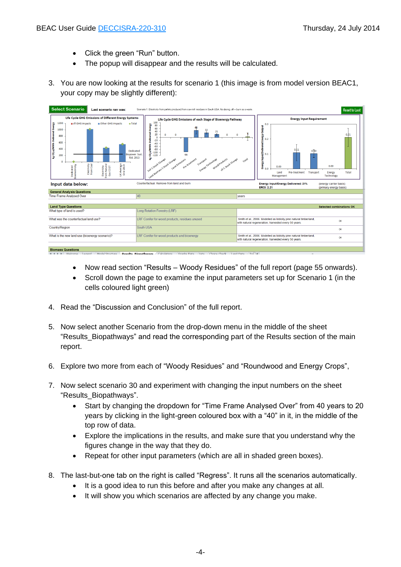- Click the green "Run" button.
- The popup will disappear and the results will be calculated.
- 3. You are now looking at the results for scenario 1 (this image is from model version BEAC1, your copy may be slightly different):



- Now read section "Results Woody Residues" of the full report (page 55 onwards).
- Scroll down the page to examine the input parameters set up for Scenario 1 (in the cells coloured light green)
- 4. Read the "Discussion and Conclusion" of the full report.
- 5. Now select another Scenario from the drop-down menu in the middle of the sheet "Results Biopathways" and read the corresponding part of the Results section of the main report.
- 6. Explore two more from each of "Woody Residues" and "Roundwood and Energy Crops",
- 7. Now select scenario 30 and experiment with changing the input numbers on the sheet "Results\_Biopathways".
	- Start by changing the dropdown for "Time Frame Analysed Over" from 40 years to 20 years by clicking in the light-green coloured box with a "40" in it, in the middle of the top row of data.
	- Explore the implications in the results, and make sure that you understand why the figures change in the way that they do.
	- Repeat for other input parameters (which are all in shaded green boxes).
- 8. The last-but-one tab on the right is called "Regress". It runs all the scenarios automatically.
	- It is a good idea to run this before and after you make any changes at all.
	- It will show you which scenarios are affected by any change you make.